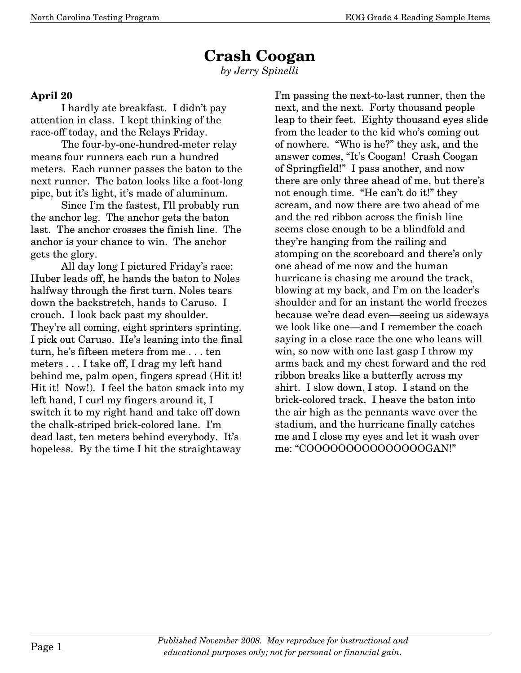## **Crash Coogan**

*by Jerry Spinelli* 

## **April 20**

 I hardly ate breakfast. I didn't pay attention in class. I kept thinking of the race-off today, and the Relays Friday.

 The four-by-one-hundred-meter relay means four runners each run a hundred meters. Each runner passes the baton to the next runner. The baton looks like a foot-long pipe, but it's light, it's made of aluminum.

 Since I'm the fastest, I'll probably run the anchor leg. The anchor gets the baton last. The anchor crosses the finish line. The anchor is your chance to win. The anchor gets the glory.

 All day long I pictured Friday's race: Huber leads off, he hands the baton to Noles halfway through the first turn, Noles tears down the backstretch, hands to Caruso. I crouch. I look back past my shoulder. They're all coming, eight sprinters sprinting. I pick out Caruso. He's leaning into the final turn, he's fifteen meters from me . . . ten meters . . . I take off, I drag my left hand behind me, palm open, fingers spread (Hit it! Hit it! Now!). I feel the baton smack into my left hand, I curl my fingers around it, I switch it to my right hand and take off down the chalk-striped brick-colored lane. I'm dead last, ten meters behind everybody. It's hopeless. By the time I hit the straightaway

I'm passing the next-to-last runner, then the next, and the next. Forty thousand people leap to their feet. Eighty thousand eyes slide from the leader to the kid who's coming out of nowhere. "Who is he?" they ask, and the answer comes, "It's Coogan! Crash Coogan of Springfield!" I pass another, and now there are only three ahead of me, but there's not enough time. "He can't do it!" they scream, and now there are two ahead of me and the red ribbon across the finish line seems close enough to be a blindfold and they're hanging from the railing and stomping on the scoreboard and there's only one ahead of me now and the human hurricane is chasing me around the track, blowing at my back, and I'm on the leader's shoulder and for an instant the world freezes because we're dead even–seeing us sideways we look like one–and I remember the coach saying in a close race the one who leans will win, so now with one last gasp I throw my arms back and my chest forward and the red ribbon breaks like a butterfly across my shirt. I slow down, I stop. I stand on the brick-colored track. I heave the baton into the air high as the pennants wave over the stadium, and the hurricane finally catches me and I close my eyes and let it wash over me: "COOOOOOOOOOOOOOOGAN!"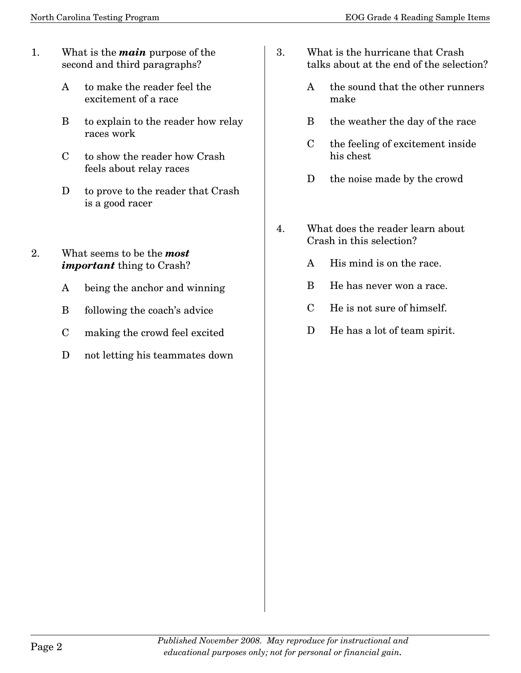- 1. What is the *main* purpose of the second and third paragraphs?
	- A to make the reader feel the excitement of a race
	- B to explain to the reader how relay races work
	- C to show the reader how Crash feels about relay races
	- D to prove to the reader that Crash is a good racer
- 2. What seems to be the *most important* thing to Crash?
	- A being the anchor and winning
	- B following the coach's advice
	- C making the crowd feel excited
	- D not letting his teammates down
- 3. What is the hurricane that Crash talks about at the end of the selection?
	- A the sound that the other runners make
	- B the weather the day of the race
	- C the feeling of excitement inside his chest
	- D the noise made by the crowd
- 4. What does the reader learn about Crash in this selection?
	- A His mind is on the race.
	- B He has never won a race.
	- C He is not sure of himself.
	- D He has a lot of team spirit.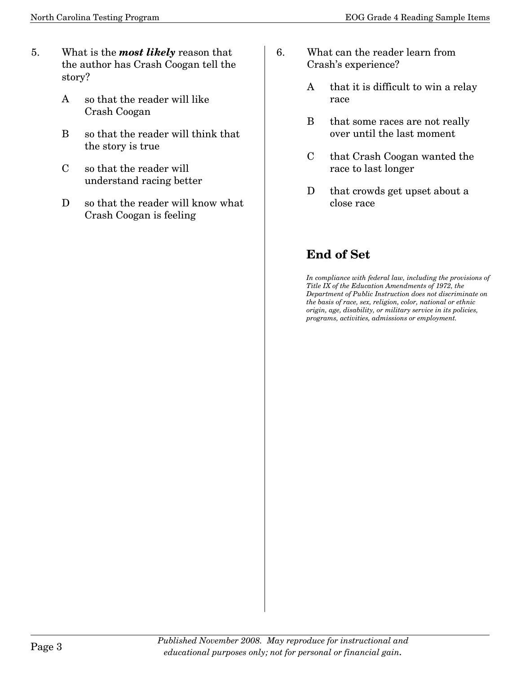- 5. What is the *most likely* reason that the author has Crash Coogan tell the story?
	- A so that the reader will like Crash Coogan
	- B so that the reader will think that the story is true
	- C so that the reader will understand racing better
	- D so that the reader will know what Crash Coogan is feeling
- 6. What can the reader learn from Crash's experience?
	- A that it is difficult to win a relay race
	- B that some races are not really over until the last moment
	- C that Crash Coogan wanted the race to last longer
	- D that crowds get upset about a close race

## **End of Set**

*In compliance with federal law, including the provisions of Title IX of the Education Amendments of 1972, the Department of Public Instruction does not discriminate on the basis of race, sex, religion, color, national or ethnic origin, age, disability, or military service in its policies, programs, activities, admissions or employment.*